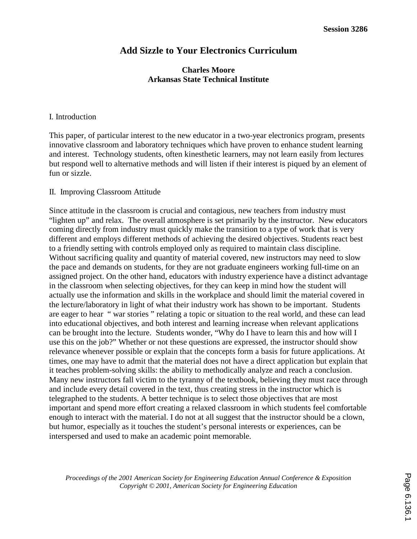# **Add Sizzle to Your Electronics Curriculum**

## **Charles Moore Arkansas State Technical Institute**

### I. Introduction

This paper, of particular interest to the new educator in a two-year electronics program, presents innovative classroom and laboratory techniques which have proven to enhance student learning and interest. Technology students, often kinesthetic learners, may not learn easily from lectures but respond well to alternative methods and will listen if their interest is piqued by an element of fun or sizzle.

### II. Improving Classroom Attitude

Since attitude in the classroom is crucial and contagious, new teachers from industry must "lighten up" and relax. The overall atmosphere is set primarily by the instructor. New educators coming directly from industry must quickly make the transition to a type of work that is very different and employs different methods of achieving the desired objectives. Students react best to a friendly setting with controls employed only as required to maintain class discipline. Without sacrificing quality and quantity of material covered, new instructors may need to slow the pace and demands on students, for they are not graduate engineers working full-time on an assigned project. On the other hand, educators with industry experience have a distinct advantage in the classroom when selecting objectives, for they can keep in mind how the student will actually use the information and skills in the workplace and should limit the material covered in the lecture/laboratory in light of what their industry work has shown to be important. Students are eager to hear " war stories " relating a topic or situation to the real world, and these can lead into educational objectives, and both interest and learning increase when relevant applications can be brought into the lecture. Students wonder, "Why do I have to learn this and how will I use this on the job?" Whether or not these questions are expressed, the instructor should show relevance whenever possible or explain that the concepts form a basis for future applications. At times, one may have to admit that the material does not have a direct application but explain that it teaches problem-solving skills: the ability to methodically analyze and reach a conclusion. Many new instructors fall victim to the tyranny of the textbook, believing they must race through and include every detail covered in the text, thus creating stress in the instructor which is telegraphed to the students. A better technique is to select those objectives that are most important and spend more effort creating a relaxed classroom in which students feel comfortable enough to interact with the material. I do not at all suggest that the instructor should be a clown, but humor, especially as it touches the student's personal interests or experiences, can be interspersed and used to make an academic point memorable.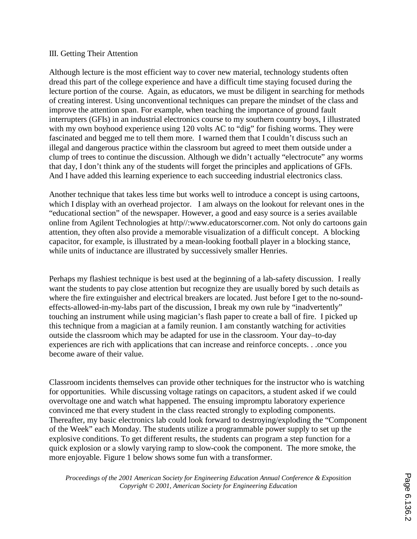### III. Getting Their Attention

Although lecture is the most efficient way to cover new material, technology students often dread this part of the college experience and have a difficult time staying focused during the lecture portion of the course. Again, as educators, we must be diligent in searching for methods of creating interest. Using unconventional techniques can prepare the mindset of the class and improve the attention span. For example, when teaching the importance of ground fault interrupters (GFIs) in an industrial electronics course to my southern country boys, I illustrated with my own boyhood experience using 120 volts AC to "dig" for fishing worms. They were fascinated and begged me to tell them more. I warned them that I couldn't discuss such an illegal and dangerous practice within the classroom but agreed to meet them outside under a clump of trees to continue the discussion. Although we didn't actually "electrocute" any worms that day, I don't think any of the students will forget the principles and applications of GFIs. And I have added this learning experience to each succeeding industrial electronics class.

Another technique that takes less time but works well to introduce a concept is using cartoons, which I display with an overhead projector. I am always on the lookout for relevant ones in the "educational section" of the newspaper. However, a good and easy source is a series available online from Agilent Technologies at http//:www.educatorscorner.com. Not only do cartoons gain attention, they often also provide a memorable visualization of a difficult concept. A blocking capacitor, for example, is illustrated by a mean-looking football player in a blocking stance, while units of inductance are illustrated by successively smaller Henries.

Perhaps my flashiest technique is best used at the beginning of a lab-safety discussion. I really want the students to pay close attention but recognize they are usually bored by such details as where the fire extinguisher and electrical breakers are located. Just before I get to the no-soundeffects-allowed-in-my-labs part of the discussion, I break my own rule by "inadvertently" touching an instrument while using magician's flash paper to create a ball of fire. I picked up this technique from a magician at a family reunion. I am constantly watching for activities outside the classroom which may be adapted for use in the classroom. Your day–to-day experiences are rich with applications that can increase and reinforce concepts. . .once you become aware of their value.

Classroom incidents themselves can provide other techniques for the instructor who is watching for opportunities. While discussing voltage ratings on capacitors, a student asked if we could overvoltage one and watch what happened. The ensuing impromptu laboratory experience convinced me that every student in the class reacted strongly to exploding components. Thereafter, my basic electronics lab could look forward to destroying/exploding the "Component of the Week" each Monday. The students utilize a programmable power supply to set up the explosive conditions. To get different results, the students can program a step function for a quick explosion or a slowly varying ramp to slow-cook the component. The more smoke, the more enjoyable. Figure 1 below shows some fun with a transformer.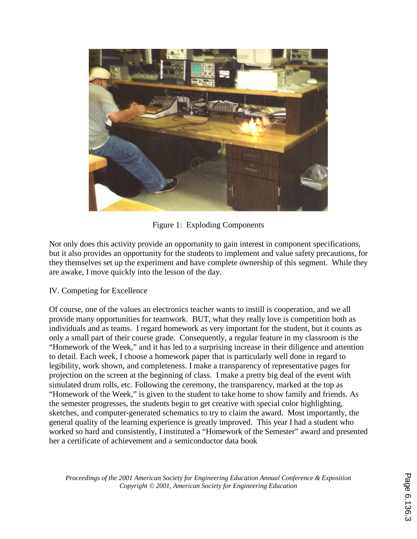

Figure 1: Exploding Components

Not only does this activity provide an opportunity to gain interest in component specifications, but it also provides an opportunity for the students to implement and value safety precautions, for they themselves set up the experiment and have complete ownership of this segment. While they are awake, I move quickly into the lesson of the day.

IV. Competing for Excellence

Of course, one of the values an electronics teacher wants to instill is cooperation, and we all provide many opportunities for teamwork. BUT, what they really love is competition both as individuals and as teams. I regard homework as very important for the student, but it counts as only a small part of their course grade. Consequently, a regular feature in my classroom is the "Homework of the Week," and it has led to a surprising increase in their diligence and attention to detail. Each week, I choose a homework paper that is particularly well done in regard to legibility, work shown, and completeness. I make a transparency of representative pages for projection on the screen at the beginning of class. I make a pretty big deal of the event with simulated drum rolls, etc. Following the ceremony, the transparency, marked at the top as "Homework of the Week," is given to the student to take home to show family and friends. As the semester progresses, the students begin to get creative with special color highlighting, sketches, and computer-generated schematics to try to claim the award. Most importantly, the general quality of the learning experience is greatly improved. This year I had a student who worked so hard and consistently, I instituted a "Homework of the Semester" award and presented her a certificate of achievement and a semiconductor data book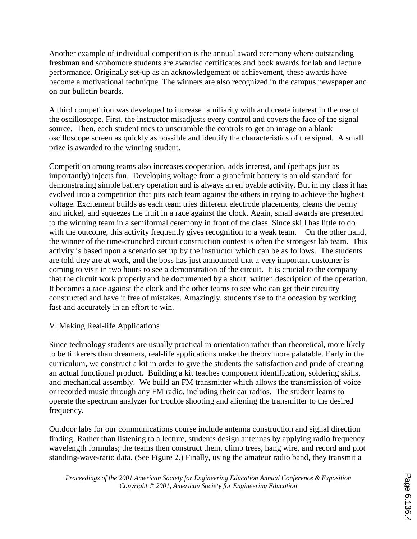Another example of individual competition is the annual award ceremony where outstanding freshman and sophomore students are awarded certificates and book awards for lab and lecture performance. Originally set-up as an acknowledgement of achievement, these awards have become a motivational technique. The winners are also recognized in the campus newspaper and on our bulletin boards.

A third competition was developed to increase familiarity with and create interest in the use of the oscilloscope. First, the instructor misadjusts every control and covers the face of the signal source. Then, each student tries to unscramble the controls to get an image on a blank oscilloscope screen as quickly as possible and identify the characteristics of the signal. A small prize is awarded to the winning student.

Competition among teams also increases cooperation, adds interest, and (perhaps just as importantly) injects fun. Developing voltage from a grapefruit battery is an old standard for demonstrating simple battery operation and is always an enjoyable activity. But in my class it has evolved into a competition that pits each team against the others in trying to achieve the highest voltage. Excitement builds as each team tries different electrode placements, cleans the penny and nickel, and squeezes the fruit in a race against the clock. Again, small awards are presented to the winning team in a semiformal ceremony in front of the class. Since skill has little to do with the outcome, this activity frequently gives recognition to a weak team. On the other hand, the winner of the time-crunched circuit construction contest is often the strongest lab team. This activity is based upon a scenario set up by the instructor which can be as follows. The students are told they are at work, and the boss has just announced that a very important customer is coming to visit in two hours to see a demonstration of the circuit. It is crucial to the company that the circuit work properly and be documented by a short, written description of the operation. It becomes a race against the clock and the other teams to see who can get their circuitry constructed and have it free of mistakes. Amazingly, students rise to the occasion by working fast and accurately in an effort to win.

# V. Making Real-life Applications

Since technology students are usually practical in orientation rather than theoretical, more likely to be tinkerers than dreamers, real-life applications make the theory more palatable. Early in the curriculum, we construct a kit in order to give the students the satisfaction and pride of creating an actual functional product. Building a kit teaches component identification, soldering skills, and mechanical assembly. We build an FM transmitter which allows the transmission of voice or recorded music through any FM radio, including their car radios. The student learns to operate the spectrum analyzer for trouble shooting and aligning the transmitter to the desired frequency.

Outdoor labs for our communications course include antenna construction and signal direction finding. Rather than listening to a lecture, students design antennas by applying radio frequency wavelength formulas; the teams then construct them, climb trees, hang wire, and record and plot standing-wave-ratio data. (See Figure 2.) Finally, using the amateur radio band, they transmit a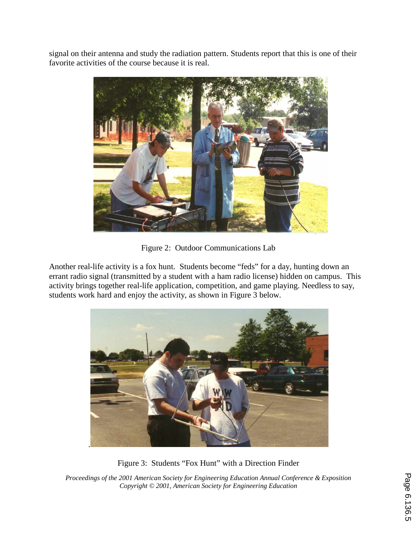signal on their antenna and study the radiation pattern. Students report that this is one of their favorite activities of the course because it is real.



Figure 2: Outdoor Communications Lab

Another real-life activity is a fox hunt. Students become "feds" for a day, hunting down an errant radio signal (transmitted by a student with a ham radio license) hidden on campus. This activity brings together real-life application, competition, and game playing. Needless to say, students work hard and enjoy the activity, as shown in Figure 3 below.



Figure 3: Students "Fox Hunt" with a Direction Finder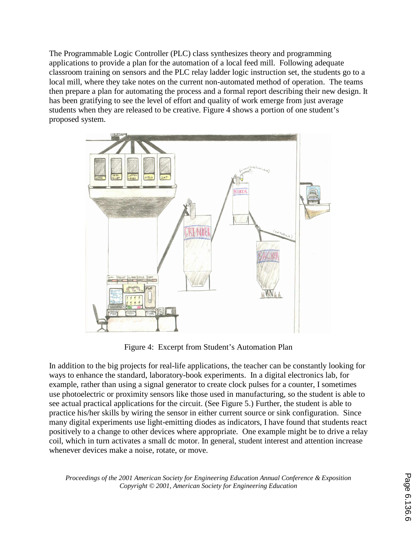The Programmable Logic Controller (PLC) class synthesizes theory and programming applications to provide a plan for the automation of a local feed mill. Following adequate classroom training on sensors and the PLC relay ladder logic instruction set, the students go to a local mill, where they take notes on the current non-automated method of operation. The teams then prepare a plan for automating the process and a formal report describing their new design. It has been gratifying to see the level of effort and quality of work emerge from just average students when they are released to be creative. Figure 4 shows a portion of one student's proposed system.



Figure 4: Excerpt from Student's Automation Plan

In addition to the big projects for real-life applications, the teacher can be constantly looking for ways to enhance the standard, laboratory-book experiments. In a digital electronics lab, for example, rather than using a signal generator to create clock pulses for a counter, I sometimes use photoelectric or proximity sensors like those used in manufacturing, so the student is able to see actual practical applications for the circuit. (See Figure 5.) Further, the student is able to practice his/her skills by wiring the sensor in either current source or sink configuration. Since many digital experiments use light-emitting diodes as indicators, I have found that students react positively to a change to other devices where appropriate. One example might be to drive a relay coil, which in turn activates a small dc motor. In general, student interest and attention increase whenever devices make a noise, rotate, or move.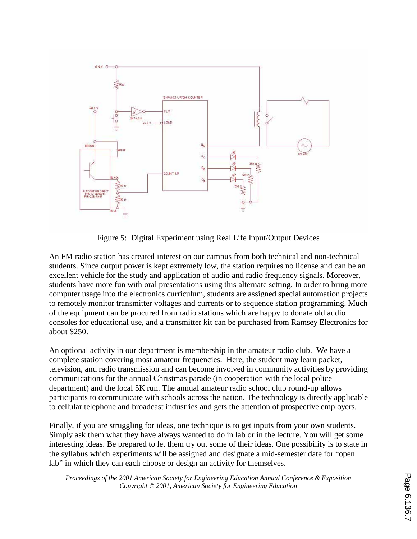

Figure 5: Digital Experiment using Real Life Input/Output Devices

An FM radio station has created interest on our campus from both technical and non-technical students. Since output power is kept extremely low, the station requires no license and can be an excellent vehicle for the study and application of audio and radio frequency signals. Moreover, students have more fun with oral presentations using this alternate setting. In order to bring more computer usage into the electronics curriculum, students are assigned special automation projects to remotely monitor transmitter voltages and currents or to sequence station programming. Much of the equipment can be procured from radio stations which are happy to donate old audio consoles for educational use, and a transmitter kit can be purchased from Ramsey Electronics for about \$250.

An optional activity in our department is membership in the amateur radio club. We have a complete station covering most amateur frequencies. Here, the student may learn packet, television, and radio transmission and can become involved in community activities by providing communications for the annual Christmas parade (in cooperation with the local police department) and the local 5K run. The annual amateur radio school club round-up allows participants to communicate with schools across the nation. The technology is directly applicable to cellular telephone and broadcast industries and gets the attention of prospective employers.

Finally, if you are struggling for ideas, one technique is to get inputs from your own students. Simply ask them what they have always wanted to do in lab or in the lecture. You will get some interesting ideas. Be prepared to let them try out some of their ideas. One possibility is to state in the syllabus which experiments will be assigned and designate a mid-semester date for "open lab" in which they can each choose or design an activity for themselves.